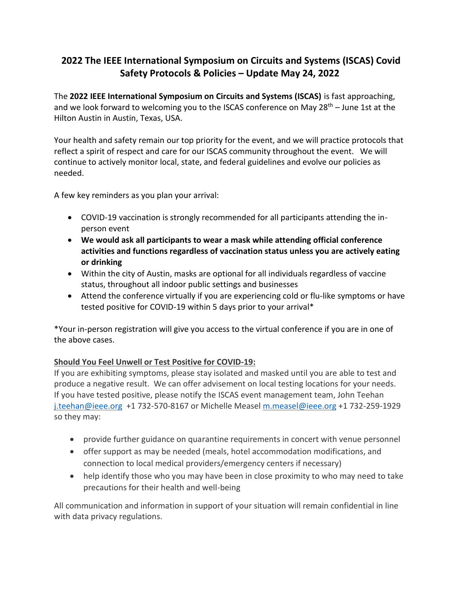## **2022 The IEEE International Symposium on Circuits and Systems (ISCAS) Covid Safety Protocols & Policies – Update May 24, 2022**

The **2022 IEEE International Symposium on Circuits and Systems (ISCAS)** is fast approaching, and we look forward to welcoming you to the ISCAS conference on May 28<sup>th</sup> – June 1st at the Hilton Austin in Austin, Texas, USA.

Your health and safety remain our top priority for the event, and we will practice protocols that reflect a spirit of respect and care for our ISCAS community throughout the event. We will continue to actively monitor local, state, and federal guidelines and evolve our policies as needed.

A few key reminders as you plan your arrival:

- COVID-19 vaccination is strongly recommended for all participants attending the inperson event
- **We would ask all participants to wear a mask while attending official conference activities and functions regardless of vaccination status unless you are actively eating or drinking**
- Within the city of Austin, masks are optional for all individuals regardless of vaccine status, throughout all indoor public settings and businesses
- Attend the conference virtually if you are experiencing cold or flu-like symptoms or have tested positive for COVID-19 within 5 days prior to your arrival\*

\*Your in-person registration will give you access to the virtual conference if you are in one of the above cases.

## **Should You Feel Unwell or Test Positive for COVID-19:**

If you are exhibiting symptoms, please stay isolated and masked until you are able to test and produce a negative result. We can offer advisement on local testing locations for your needs. If you have tested positive, please notify the ISCAS event management team, John Teehan [j.teehan@ieee.org](mailto:j.teehan@ieee.org) +1 732-570-8167 or Michelle Measel [m.measel@ieee.org](mailto:m.measel@ieee.org) +1 732-259-1929 so they may:

- provide further guidance on quarantine requirements in concert with venue personnel
- offer support as may be needed (meals, hotel accommodation modifications, and connection to local medical providers/emergency centers if necessary)
- help identify those who you may have been in close proximity to who may need to take precautions for their health and well-being

All communication and information in support of your situation will remain confidential in line with data privacy regulations.